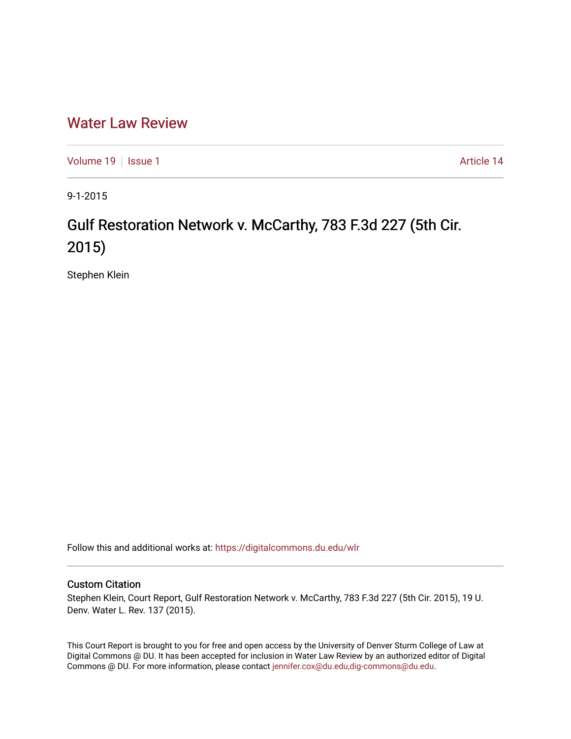# [Water Law Review](https://digitalcommons.du.edu/wlr)

[Volume 19](https://digitalcommons.du.edu/wlr/vol19) | [Issue 1](https://digitalcommons.du.edu/wlr/vol19/iss1) Article 14

9-1-2015

# Gulf Restoration Network v. McCarthy, 783 F.3d 227 (5th Cir. 2015)

Stephen Klein

Follow this and additional works at: [https://digitalcommons.du.edu/wlr](https://digitalcommons.du.edu/wlr?utm_source=digitalcommons.du.edu%2Fwlr%2Fvol19%2Fiss1%2F14&utm_medium=PDF&utm_campaign=PDFCoverPages) 

## Custom Citation

Stephen Klein, Court Report, Gulf Restoration Network v. McCarthy, 783 F.3d 227 (5th Cir. 2015), 19 U. Denv. Water L. Rev. 137 (2015).

This Court Report is brought to you for free and open access by the University of Denver Sturm College of Law at Digital Commons @ DU. It has been accepted for inclusion in Water Law Review by an authorized editor of Digital Commons @ DU. For more information, please contact [jennifer.cox@du.edu,dig-commons@du.edu.](mailto:jennifer.cox@du.edu,dig-commons@du.edu)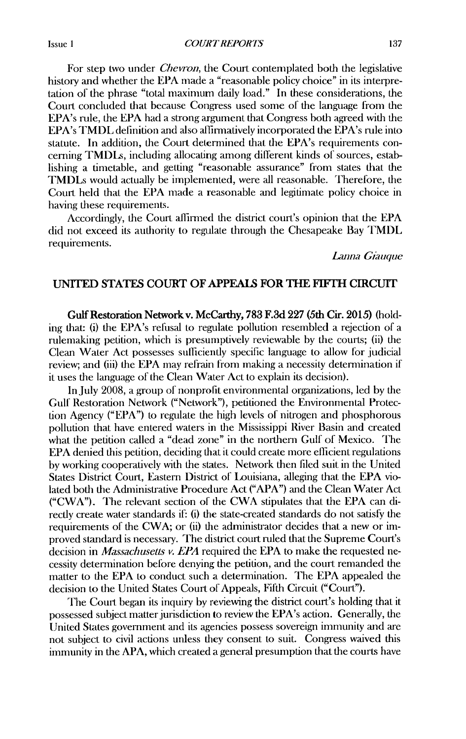For step two under *Chevron,* the Court contemplated both the legislative history and whether the EPA made a "reasonable policy choice" in its interpretation of the phrase "total maximum daily load." In these considerations, the Court concluded that because Congress used some of the language from the EPA's rule, the EPA had a strong argument that Congress both agreed with the EPA's TMDL definition and also aflirmatively incorporated the EPA's rule into statute. In addition, the Court determined that the EPA's requirements concerning TMDLs, including allocating among different kinds of sources, establishing a timetable, and getting "reasonable assurance" from states that the TMDLs would actually be implemented, were all reasonable. Therefore, the Court held that the EPA made a reasonable and legitimate policy choice in having these requirements.

Accordingly, the Court affirned the district court's opinion that the EPA did not exceed its authority to regulate through the Chesapeake Bay TMDL requirements.

*Lnmna Giauque*

### **UNTED STATES COURT** OF **APPEALS FOR THE FIFTH CIRCUIT**

Gulf Restoration Network v. McCarthy, 783 F.3d 227 (5th Cir. 2015) (holding that: (i) the EPA's refusal to regulate pollution resembled a rejection of a rulemaking petition, which is presumptively reviewable by the courts; (ii) the Clean Water Act possesses sulficiently specific language to allow for judicial review; and (iii) the EPA may refrain from making a necessity determination if it uses the language of the Clean Water Act to explain its decision).

In July 2008, a group of nonprofit environmental organizations, led by the Gulf Restoration Network ("Network"), petitioned the Environmental Protection Agency ("EPA") to regulate the high levels of nitrogen and phosphorous pollution that have entered waters in the Mississippi River Basin and created what the petition called a "dead zone" in the northern Gulf of Mexico. The EPA denied this petition, deciding that it could create more efficient regulations by working cooperatively with the states. Network then filed suit in the United States District Court, Eastern District of Louisiana, alleging that the EPA violated both the Administrative Procedure Act ("APA") and the Clean Water Act ("CWA"). The relevant section of the CWA stipulates that the EPA can directly create water standards if: (i) the state-created standards do not satisfy the requirements of the CWA; or (ii) the administrator decides that a new or improved standard is necessary. The district court ruled that the Supreme Court's decision in *Massachusetts v. EPA* required the EPA to make the requested necessity determination before denying the petition, and the court remanded the matter to the EPA to conduct such a determination. The EPA appealed the decision to the United States Court of Appeals, Fifth Circuit ("Court").

The Court began its inquiry by reviewing the district court's holding that it possessed subject matter jurisdiction to review the EPA's action. Generally, the United States government and its agencies possess sovereign immunity and are not subject to civil actions unless they consent to suit. Congress waived this immunity in the APA, which created a general presumption that the courts have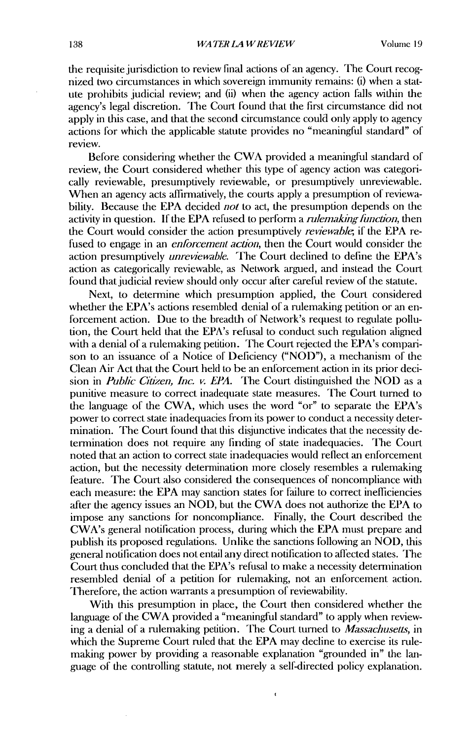the requisite jurisdiction to review final actions of an agency. The Court recognized two circumstances in which sovereign immunity remains: (i) when a statute prohibits judicial review; and (ii) when the agency action falls within the agency's legal discretion. The Court found that the first circumstance did not apply in this case, and that the second circumstance could only apply to agency actions for which the applicable statute provides no "meaningful standard" of review.

Before considering whether the CWA provided a meaningful standard of review, the Court considered whether this type of agency action was categorically reviewable, presumptively reviewable, or presumptively unreviewable. When an agency acts affirmatively, the courts apply a presumption of reviewability. Because the EPA decided *not* to act, the presumption depends on the activity in question. If the EPA refused to perform a *rulemaking function,* then the Court would consider the action presumptively *reviewable,* if the EPA refused to engage in an *enforcement action,* then the Court would consider the action presumptively *unreviewable.* The Court declined to define the EPA's action as categorically reviewable, as Network argued, and instead the Court found that judicial review should only occur after careful review of the statute.

Next, to determine which presumption applied, the Court considered whether the EPA's actions resembled denial of a rulemaking petition or an enforcement action. Due to the breadth of Network's request to regulate pollution, the Court held that the EPA's refusal to conduct such regulation aligned with a denial of a rulemaking petition. The Court rejected the EPA's comparison to an issuance of a Notice of Deficiency ("NOD"), a mechanism of the Clean Air Act that the Court held to be an enforcement action in its prior decision in *Public Citizen, Inc. v. EPA.* The Court distinguished the NOD as a punitive measure to correct inadequate state measures. The Court turned to the language of the CWA, which uses the word "or" to separate the EPA's power to correct state inadequacies from its power to conduct a necessity determination. The Court found that this disjunctive indicates that the necessity determination does not require any finding of state inadequacies. The Court noted that an action to correct state inadequacies would reflect an enforcement action, but the necessity determination more closely resembles a rulemaking feature. The Court also considered the consequences of noncompliance with each measure: the **EPA** may sanction states for failure to correct inefficiencies after the agency issues an NOD, but the CWA does not authorize the EPA to impose any sanctions for noncompliance. Finally, the Court described the CWA's general notification process, during which the EPA must prepare and publish its proposed regulations. Unlike the sanctions following an NOD, this general notification does not entail any direct notification to affected states. The Court thus concluded that the EPA's refusal to make a necessity determination resembled denial of a petition for rulemaking, not an enforcement action. 'Therefore, the action warrants a presumption of reviewability.

With this presumption in place, the Court then considered whether the language of the CWA provided a "meaningful standard" to apply when reviewing a denial of a rulemaking petition. The Court turned to *Massachusetts,* in which the Supreme Court ruled that the **EPA** may decline to exercise its rulemaking power by providing a reasonable explanation "grounded in" the language of the controlling statute, not merely a self-directed policy explanation.

ł